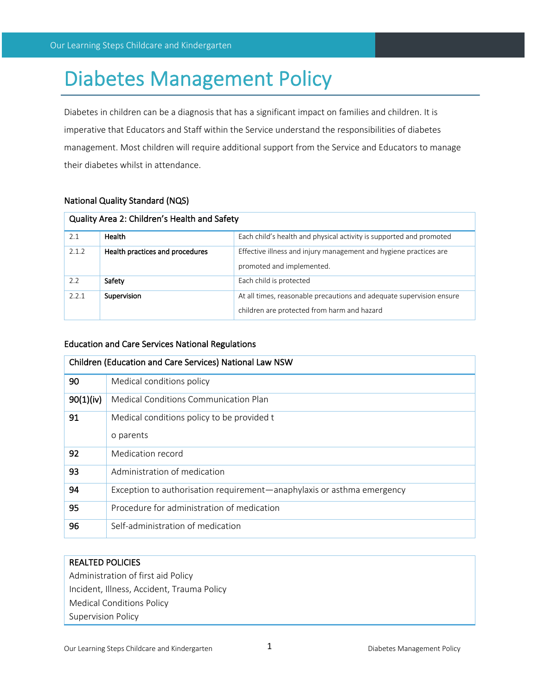# Diabetes Management Policy

Diabetes in children can be a diagnosis that has a significant impact on families and children. It is imperative that Educators and Staff within the Service understand the responsibilities of diabetes management. Most children will require additional support from the Service and Educators to manage their diabetes whilst in attendance.

# National Quality Standard (NQS)

| Quality Area 2: Children's Health and Safety |                                 |                                                                                                                     |  |  |
|----------------------------------------------|---------------------------------|---------------------------------------------------------------------------------------------------------------------|--|--|
| 2.1                                          | Health                          | Each child's health and physical activity is supported and promoted                                                 |  |  |
| 2.1.2                                        | Health practices and procedures | Effective illness and injury management and hygiene practices are<br>promoted and implemented.                      |  |  |
| 2.2                                          | Safety                          | Each child is protected                                                                                             |  |  |
| 2.2.1                                        | Supervision                     | At all times, reasonable precautions and adequate supervision ensure<br>children are protected from harm and hazard |  |  |

# Education and Care Services National Regulations

| Children (Education and Care Services) National Law NSW |                                                                        |  |
|---------------------------------------------------------|------------------------------------------------------------------------|--|
| 90                                                      | Medical conditions policy                                              |  |
| 90(1)(iv)                                               | Medical Conditions Communication Plan                                  |  |
| 91                                                      | Medical conditions policy to be provided t                             |  |
|                                                         | o parents                                                              |  |
| 92                                                      | Medication record                                                      |  |
| 93                                                      | Administration of medication                                           |  |
| 94                                                      | Exception to authorisation requirement—anaphylaxis or asthma emergency |  |
| 95                                                      | Procedure for administration of medication                             |  |
| 96                                                      | Self-administration of medication                                      |  |

# REALTED POLICIES

Administration of first aid Policy Incident, Illness, Accident, Trauma Policy Medical Conditions Policy Supervision Policy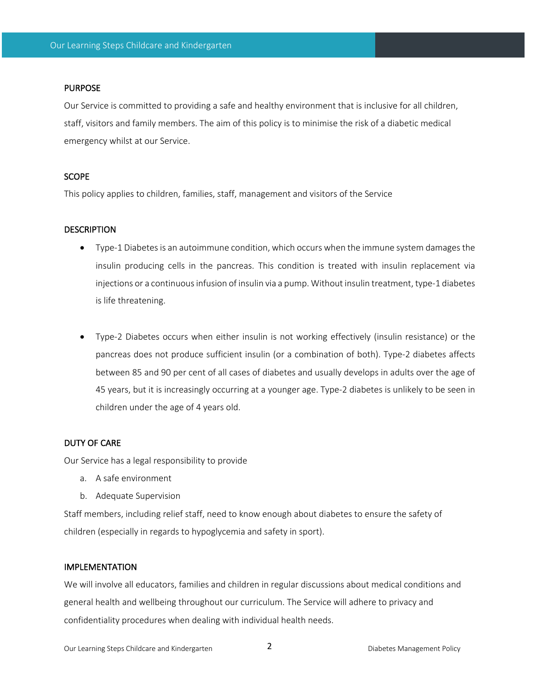#### PURPOSE

Our Service is committed to providing a safe and healthy environment that is inclusive for all children, staff, visitors and family members. The aim of this policy is to minimise the risk of a diabetic medical emergency whilst at our Service.

#### **SCOPE**

This policy applies to children, families, staff, management and visitors of the Service

#### **DESCRIPTION**

- Type-1 Diabetes is an autoimmune condition, which occurs when the immune system damages the insulin producing cells in the pancreas. This condition is treated with insulin replacement via injections or a continuous infusion of insulin via a pump. Without insulin treatment, type-1 diabetes is life threatening.
- Type-2 Diabetes occurs when either insulin is not working effectively (insulin resistance) or the pancreas does not produce sufficient insulin (or a combination of both). Type-2 diabetes affects between 85 and 90 per cent of all cases of diabetes and usually develops in adults over the age of 45 years, but it is increasingly occurring at a younger age. Type-2 diabetes is unlikely to be seen in children under the age of 4 years old.

#### DUTY OF CARE

Our Service has a legal responsibility to provide

- a. A safe environment
- b. Adequate Supervision

Staff members, including relief staff, need to know enough about diabetes to ensure the safety of children (especially in regards to hypoglycemia and safety in sport).

## IMPLEMENTATION

We will involve all educators, families and children in regular discussions about medical conditions and general health and wellbeing throughout our curriculum. The Service will adhere to privacy and confidentiality procedures when dealing with individual health needs.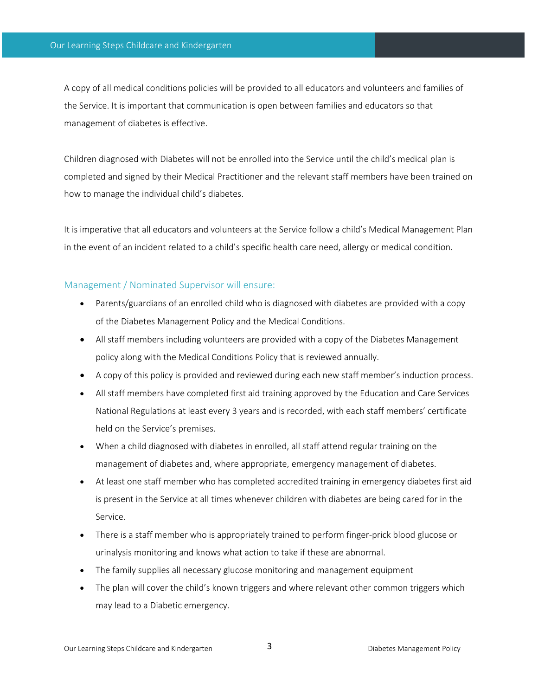A copy of all medical conditions policies will be provided to all educators and volunteers and families of the Service. It is important that communication is open between families and educators so that management of diabetes is effective.

Children diagnosed with Diabetes will not be enrolled into the Service until the child's medical plan is completed and signed by their Medical Practitioner and the relevant staff members have been trained on how to manage the individual child's diabetes.

It is imperative that all educators and volunteers at the Service follow a child's Medical Management Plan in the event of an incident related to a child's specific health care need, allergy or medical condition.

# Management / Nominated Supervisor will ensure:

- Parents/guardians of an enrolled child who is diagnosed with diabetes are provided with a copy of the Diabetes Management Policy and the Medical Conditions.
- All staff members including volunteers are provided with a copy of the Diabetes Management policy along with the Medical Conditions Policy that is reviewed annually.
- A copy of this policy is provided and reviewed during each new staff member's induction process.
- All staff members have completed first aid training approved by the Education and Care Services National Regulations at least every 3 years and is recorded, with each staff members' certificate held on the Service's premises.
- When a child diagnosed with diabetes in enrolled, all staff attend regular training on the management of diabetes and, where appropriate, emergency management of diabetes.
- At least one staff member who has completed accredited training in emergency diabetes first aid is present in the Service at all times whenever children with diabetes are being cared for in the Service.
- There is a staff member who is appropriately trained to perform finger-prick blood glucose or urinalysis monitoring and knows what action to take if these are abnormal.
- The family supplies all necessary glucose monitoring and management equipment
- The plan will cover the child's known triggers and where relevant other common triggers which may lead to a Diabetic emergency.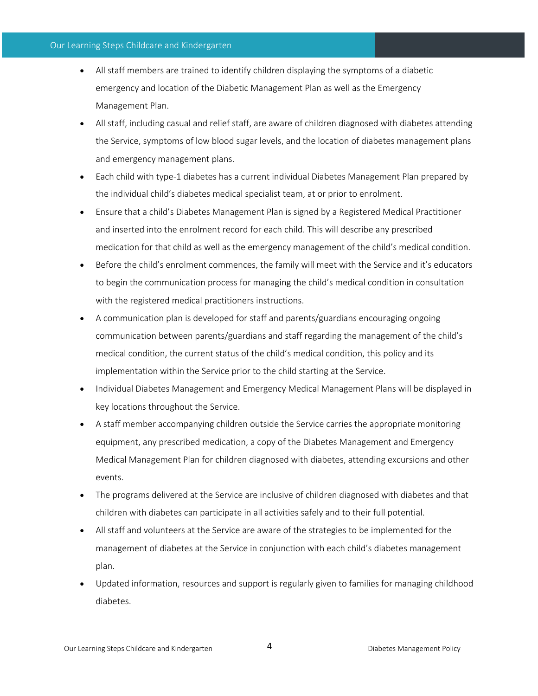## Our Learning Steps Childcare and Kindergarten

- All staff members are trained to identify children displaying the symptoms of a diabetic emergency and location of the Diabetic Management Plan as well as the Emergency Management Plan.
- All staff, including casual and relief staff, are aware of children diagnosed with diabetes attending the Service, symptoms of low blood sugar levels, and the location of diabetes management plans and emergency management plans.
- Each child with type-1 diabetes has a current individual Diabetes Management Plan prepared by the individual child's diabetes medical specialist team, at or prior to enrolment.
- Ensure that a child's Diabetes Management Plan is signed by a Registered Medical Practitioner and inserted into the enrolment record for each child. This will describe any prescribed medication for that child as well as the emergency management of the child's medical condition.
- Before the child's enrolment commences, the family will meet with the Service and it's educators to begin the communication process for managing the child's medical condition in consultation with the registered medical practitioners instructions.
- A communication plan is developed for staff and parents/guardians encouraging ongoing communication between parents/guardians and staff regarding the management of the child's medical condition, the current status of the child's medical condition, this policy and its implementation within the Service prior to the child starting at the Service.
- Individual Diabetes Management and Emergency Medical Management Plans will be displayed in key locations throughout the Service.
- A staff member accompanying children outside the Service carries the appropriate monitoring equipment, any prescribed medication, a copy of the Diabetes Management and Emergency Medical Management Plan for children diagnosed with diabetes, attending excursions and other events.
- The programs delivered at the Service are inclusive of children diagnosed with diabetes and that children with diabetes can participate in all activities safely and to their full potential.
- All staff and volunteers at the Service are aware of the strategies to be implemented for the management of diabetes at the Service in conjunction with each child's diabetes management plan.
- Updated information, resources and support is regularly given to families for managing childhood diabetes.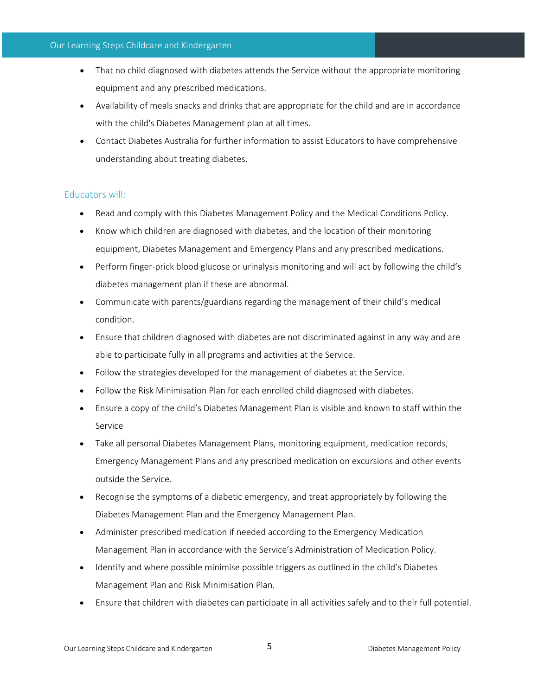## Our Learning Steps Childcare and Kindergarten

- That no child diagnosed with diabetes attends the Service without the appropriate monitoring equipment and any prescribed medications.
- Availability of meals snacks and drinks that are appropriate for the child and are in accordance with the child's Diabetes Management plan at all times.
- Contact Diabetes Australia for further information to assist Educators to have comprehensive understanding about treating diabetes.

# Educators will:

- Read and comply with this Diabetes Management Policy and the Medical Conditions Policy.
- Know which children are diagnosed with diabetes, and the location of their monitoring equipment, Diabetes Management and Emergency Plans and any prescribed medications.
- Perform finger-prick blood glucose or urinalysis monitoring and will act by following the child's diabetes management plan if these are abnormal.
- Communicate with parents/guardians regarding the management of their child's medical condition.
- Ensure that children diagnosed with diabetes are not discriminated against in any way and are able to participate fully in all programs and activities at the Service.
- Follow the strategies developed for the management of diabetes at the Service.
- Follow the Risk Minimisation Plan for each enrolled child diagnosed with diabetes.
- Ensure a copy of the child's Diabetes Management Plan is visible and known to staff within the Service
- Take all personal Diabetes Management Plans, monitoring equipment, medication records, Emergency Management Plans and any prescribed medication on excursions and other events outside the Service.
- Recognise the symptoms of a diabetic emergency, and treat appropriately by following the Diabetes Management Plan and the Emergency Management Plan.
- Administer prescribed medication if needed according to the Emergency Medication Management Plan in accordance with the Service's Administration of Medication Policy.
- Identify and where possible minimise possible triggers as outlined in the child's Diabetes Management Plan and Risk Minimisation Plan.
- Ensure that children with diabetes can participate in all activities safely and to their full potential.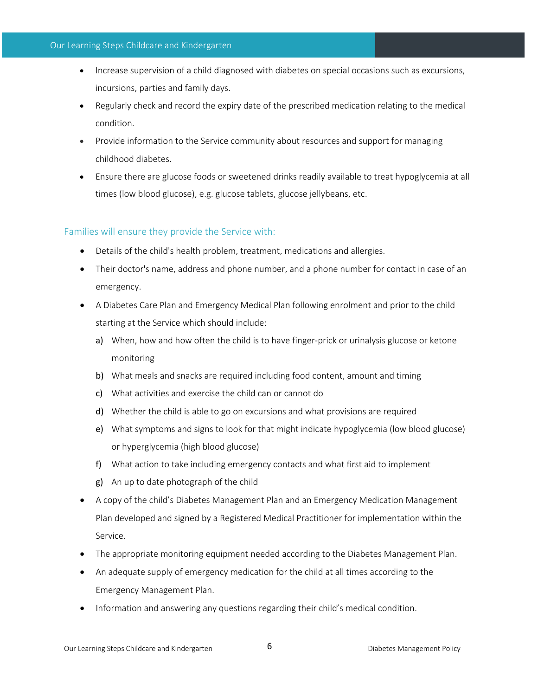## Our Learning Steps Childcare and Kindergarten

- Increase supervision of a child diagnosed with diabetes on special occasions such as excursions, incursions, parties and family days.
- Regularly check and record the expiry date of the prescribed medication relating to the medical condition.
- Provide information to the Service community about resources and support for managing childhood diabetes.
- Ensure there are glucose foods or sweetened drinks readily available to treat hypoglycemia at all times (low blood glucose), e.g. glucose tablets, glucose jellybeans, etc.

# Families will ensure they provide the Service with:

- Details of the child's health problem, treatment, medications and allergies.
- Their doctor's name, address and phone number, and a phone number for contact in case of an emergency.
- A Diabetes Care Plan and Emergency Medical Plan following enrolment and prior to the child starting at the Service which should include:
	- a) When, how and how often the child is to have finger-prick or urinalysis glucose or ketone monitoring
	- b) What meals and snacks are required including food content, amount and timing
	- c) What activities and exercise the child can or cannot do
	- d) Whether the child is able to go on excursions and what provisions are required
	- e) What symptoms and signs to look for that might indicate hypoglycemia (low blood glucose) or hyperglycemia (high blood glucose)
	- f) What action to take including emergency contacts and what first aid to implement
	- g) An up to date photograph of the child
- A copy of the child's Diabetes Management Plan and an Emergency Medication Management Plan developed and signed by a Registered Medical Practitioner for implementation within the Service.
- The appropriate monitoring equipment needed according to the Diabetes Management Plan.
- An adequate supply of emergency medication for the child at all times according to the Emergency Management Plan.
- Information and answering any questions regarding their child's medical condition.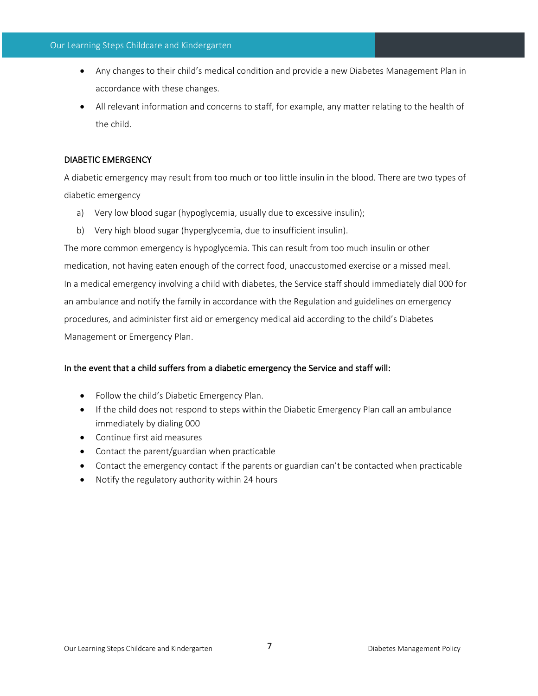- Any changes to their child's medical condition and provide a new Diabetes Management Plan in accordance with these changes.
- All relevant information and concerns to staff, for example, any matter relating to the health of the child.

## DIABETIC EMERGENCY

A diabetic emergency may result from too much or too little insulin in the blood. There are two types of diabetic emergency

- a) Very low blood sugar (hypoglycemia, usually due to excessive insulin);
- b) Very high blood sugar (hyperglycemia, due to insufficient insulin).

The more common emergency is hypoglycemia. This can result from too much insulin or other medication, not having eaten enough of the correct food, unaccustomed exercise or a missed meal. In a medical emergency involving a child with diabetes, the Service staff should immediately dial 000 for an ambulance and notify the family in accordance with the Regulation and guidelines on emergency procedures, and administer first aid or emergency medical aid according to the child's Diabetes Management or Emergency Plan.

# In the event that a child suffers from a diabetic emergency the Service and staff will:

- Follow the child's Diabetic Emergency Plan.
- If the child does not respond to steps within the Diabetic Emergency Plan call an ambulance immediately by dialing 000
- Continue first aid measures
- Contact the parent/guardian when practicable
- Contact the emergency contact if the parents or guardian can't be contacted when practicable
- Notify the regulatory authority within 24 hours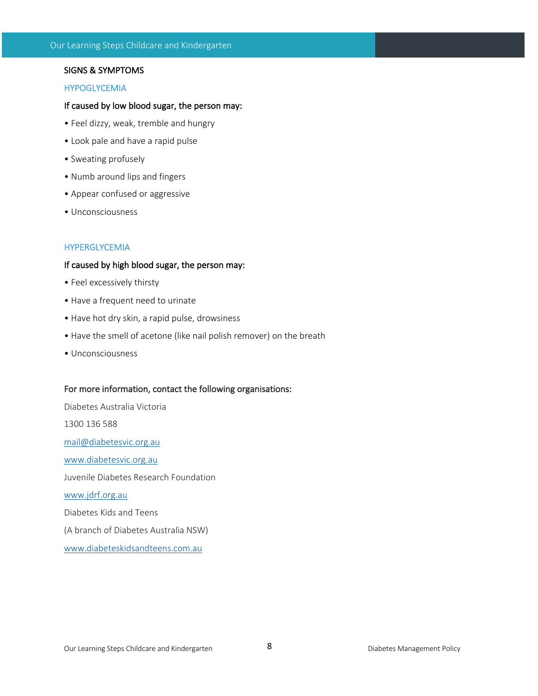## SIGNS & SYMPTOMS

### HYPOGLYCEMIA

## If caused by low blood sugar, the person may:

- Feel dizzy, weak, tremble and hungry
- Look pale and have a rapid pulse
- Sweating profusely
- Numb around lips and fingers
- Appear confused or aggressive
- Unconsciousness

## HYPERGLYCEMIA

### If caused by high blood sugar, the person may:

- Feel excessively thirsty
- Have a frequent need to urinate
- Have hot dry skin, a rapid pulse, drowsiness
- Have the smell of acetone (like nail polish remover) on the breath
- Unconsciousness

#### For more information, contact the following organisations:

Diabetes Australia Victoria 1300 136 588 mail@diabetesvic.org.au www.diabetesvic.org.au Juvenile Diabetes Research Foundation www.jdrf.org.au Diabetes Kids and Teens (A branch of Diabetes Australia NSW) www.diabeteskidsandteens.com.au